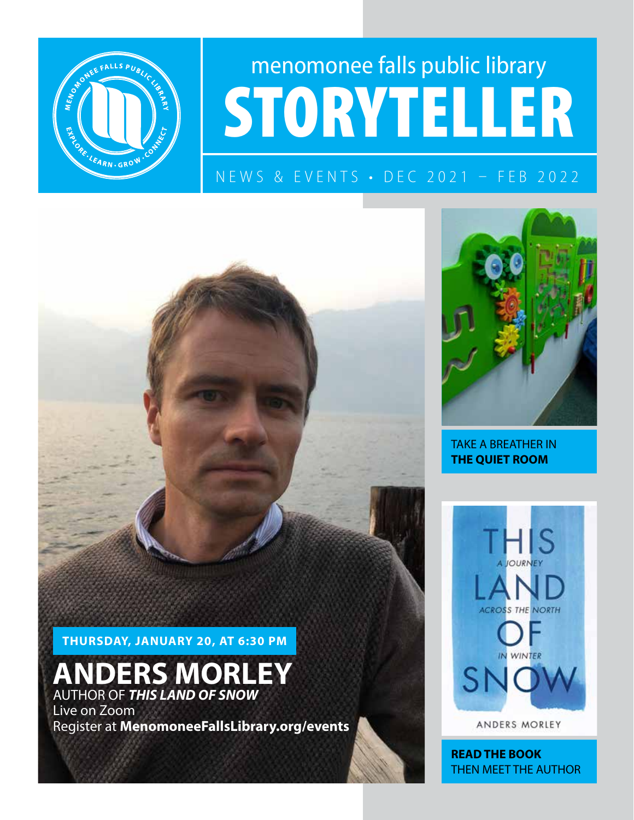

# menomonee falls public library STORYTELLER

### NEWS & EVENTS • DEC 2021 – FEB 2022

THURSDAY, JANUARY 20, AT 6:30 PM

### **NDERS MORLEY** AUTHOR OF *THIS LAND OF SNOW*

Live on Zoom Register at MenomoneeFallsLibrary.org/events



TAKE A BREATHER IN THE QUIET ROOM



ANDERS MORLEY

READ THE BOOK THEN MEET THE AUTHOR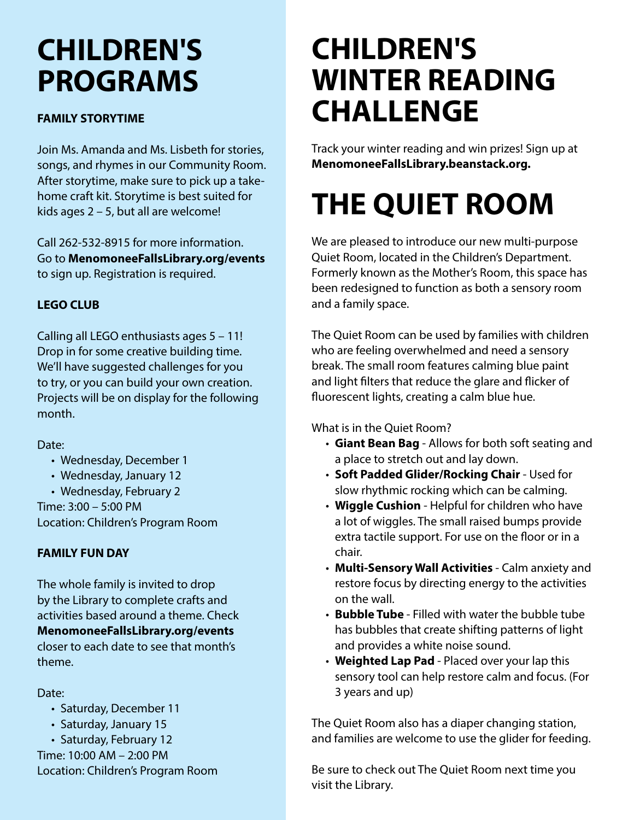### CHILDREN'S PROGRAMS

#### FAMILY STORYTIME

Join Ms. Amanda and Ms. Lisbeth for stories, songs, and rhymes in our Community Room. After storytime, make sure to pick up a takehome craft kit. Storytime is best suited for kids ages 2 – 5, but all are welcome!

Call 262-532-8915 for more information. Go to MenomoneeFallsLibrary.org/events to sign up. Registration is required.

### LEGO CLUB

Calling all LEGO enthusiasts ages 5 – 11! Drop in for some creative building time. We'll have suggested challenges for you to try, or you can build your own creation. Projects will be on display for the following month.

Date:

- Wednesday, December 1
- Wednesday, January 12
- Wednesday, February 2

Time: 3:00 – 5:00 PM Location: Children's Program Room

### FAMILY FUN DAY

The whole family is invited to drop by the Library to complete crafts and activities based around a theme. Check MenomoneeFallsLibrary.org/events closer to each date to see that month's theme.

Date:

- Saturday, December 11
- Saturday, January 15

• Saturday, February 12 Time: 10:00 AM – 2:00 PM Location: Children's Program Room

### CHILDREN'S WINTER READING CHALLENGE

Track your winter reading and win prizes! Sign up at MenomoneeFallsLibrary.beanstack.org.

# THE QUIET ROOM

We are pleased to introduce our new multi-purpose Quiet Room, located in the Children's Department. Formerly known as the Mother's Room, this space has been redesigned to function as both a sensory room and a family space.

The Quiet Room can be used by families with children who are feeling overwhelmed and need a sensory break. The small room features calming blue paint and light filters that reduce the glare and flicker of fluorescent lights, creating a calm blue hue.

What is in the Quiet Room?

- Giant Bean Bag Allows for both soft seating and a place to stretch out and lay down.
- Soft Padded Glider/Rocking Chair Used for slow rhythmic rocking which can be calming.
- Wiggle Cushion Helpful for children who have a lot of wiggles. The small raised bumps provide extra tactile support. For use on the floor or in a chair.
- Multi-Sensory Wall Activities Calm anxiety and restore focus by directing energy to the activities on the wall.
- Bubble Tube Filled with water the bubble tube has bubbles that create shifting patterns of light and provides a white noise sound.
- Weighted Lap Pad Placed over your lap this sensory tool can help restore calm and focus. (For 3 years and up)

The Quiet Room also has a diaper changing station, and families are welcome to use the glider for feeding.

Be sure to check out The Quiet Room next time you visit the Library.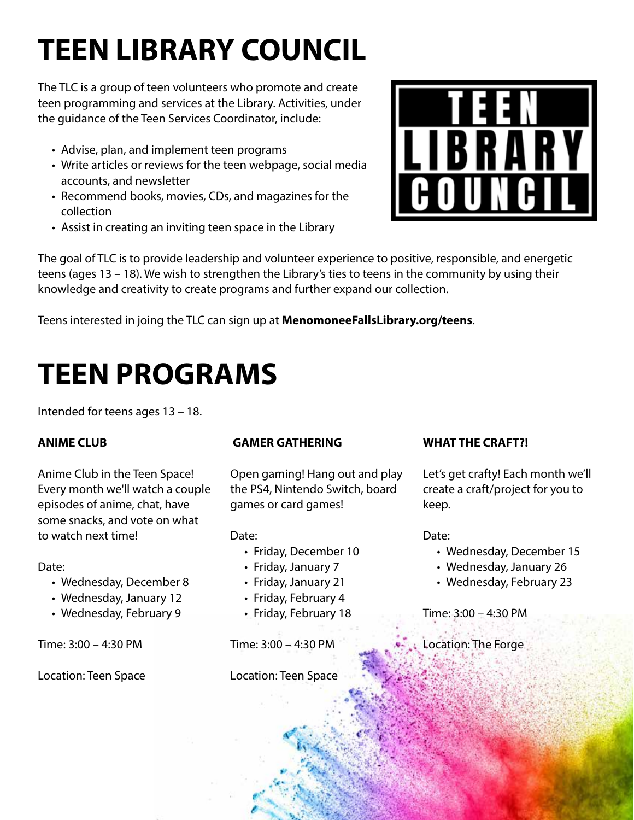# TEEN LIBRARY COUNCIL

The TLC is a group of teen volunteers who promote and create teen programming and services at the Library. Activities, under the guidance of the Teen Services Coordinator, include:

- Advise, plan, and implement teen programs
- Write articles or reviews for the teen webpage, social media accounts, and newsletter
- Recommend books, movies, CDs, and magazines for the collection
- Assist in creating an inviting teen space in the Library



The goal of TLC is to provide leadership and volunteer experience to positive, responsible, and energetic teens (ages 13 – 18). We wish to strengthen the Library's ties to teens in the community by using their knowledge and creativity to create programs and further expand our collection.

Teens interested in joing the TLC can sign up at **MenomoneeFallsLibrary.org/teens**.

## TEEN PROGRAMS

Intended for teens ages 13 – 18.

### ANIME CLUB

Anime Club in the Teen Space! Every month we'll watch a couple episodes of anime, chat, have some snacks, and vote on what to watch next time!

#### Date:

- Wednesday, December 8
- Wednesday, January 12
- Wednesday, February 9

Time: 3:00 – 4:30 PM

Location: Teen Space

### GAMER GATHERING

Open gaming! Hang out and play the PS4, Nintendo Switch, board games or card games!

Date:

- Friday, December 10
- Friday, January 7
- Friday, January 21
- Friday, February 4
- Friday, February 18

Time: 3:00 – 4:30 PM

Location: Teen Space

### WHAT THE CRAFT?!

Let's get crafty! Each month we'll create a craft/project for you to keep.

Date:

- Wednesday, December 15
- Wednesday, January 26
- Wednesday, February 23

Time: 3:00 – 4:30 PM

Location: The Forge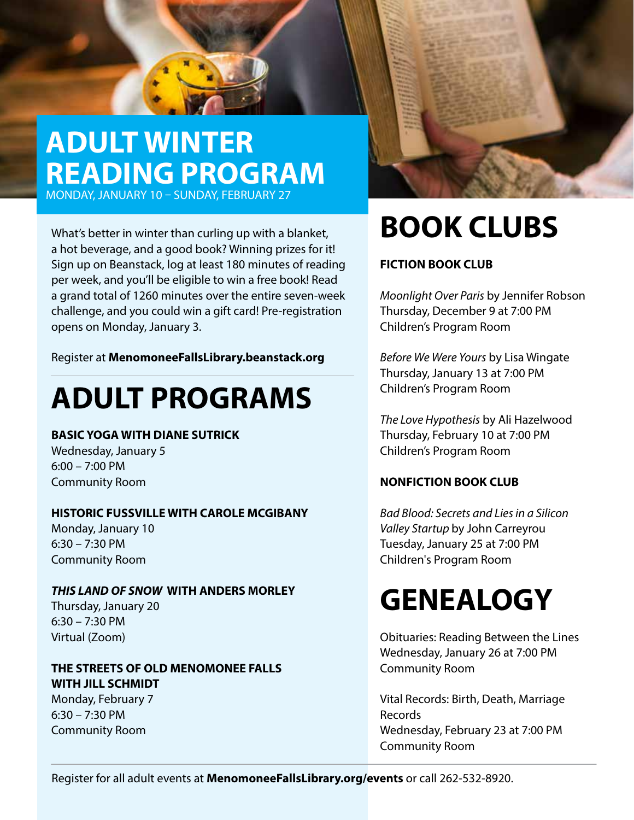### ADULT WINTER READING PROGRAM

MONDAY, JANUARY 10 – SUNDAY, FEBRUARY 27

What's better in winter than curling up with a blanket, a hot beverage, and a good book? Winning prizes for it! Sign up on Beanstack, log at least 180 minutes of reading per week, and you'll be eligible to win a free book! Read a grand total of 1260 minutes over the entire seven-week challenge, and you could win a gift card! Pre-registration opens on Monday, January 3.

Register at MenomoneeFallsLibrary.beanstack.org

### ADULT PROGRAMS

#### BASIC YOGA WITH DIANE SUTRICK

Wednesday, January 5 6:00 – 7:00 PM Community Room

#### HISTORIC FUSSVILLE WITH CAROLE MCGIBANY

Monday, January 10 6:30 – 7:30 PM Community Room

#### *THIS LAND OF SNOW* WITH ANDERS MORLEY

Thursday, January 20 6:30 – 7:30 PM Virtual (Zoom)

### THE STREETS OF OLD MENOMONEE FALLS WITH JILL SCHMIDT

Monday, February 7 6:30 – 7:30 PM Community Room

# BOOK CLUBS

### FICTION BOOK CLUB

*Moonlight Over Paris* by Jennifer Robson Thursday, December 9 at 7:00 PM Children's Program Room

*Before We Were Yours* by Lisa Wingate Thursday, January 13 at 7:00 PM Children's Program Room

*The Love Hypothesis* by Ali Hazelwood Thursday, February 10 at 7:00 PM Children's Program Room

### NONFICTION BOOK CLUB

*Bad Blood: Secrets and Lies in a Silicon Valley Startup* by John Carreyrou Tuesday, January 25 at 7:00 PM Children's Program Room

### **GENEALOGY**

Obituaries: Reading Between the Lines Wednesday, January 26 at 7:00 PM Community Room

Vital Records: Birth, Death, Marriage Records Wednesday, February 23 at 7:00 PM Community Room

Register for all adult events at MenomoneeFallsLibrary.org/events or call 262-532-8920.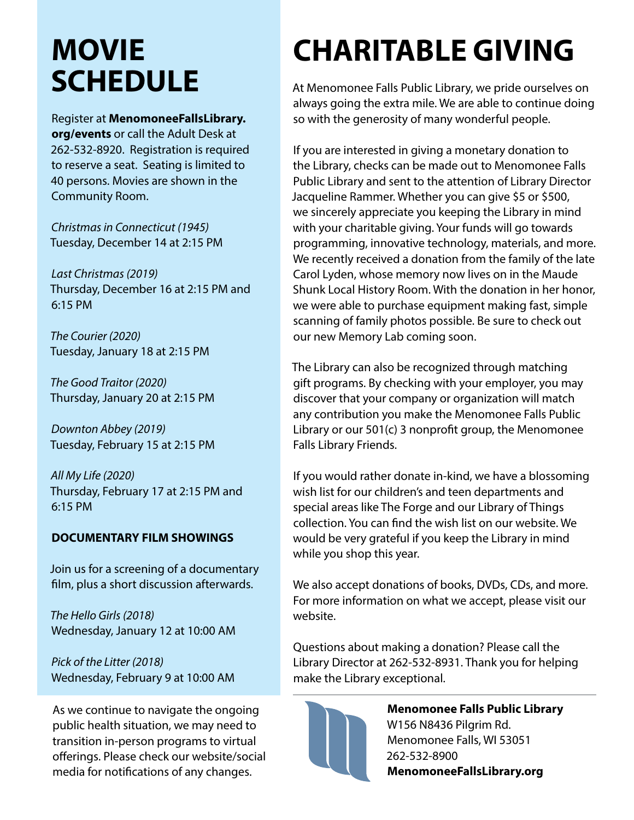### MOVIE **SCHEDULE**

Register at MenomoneeFallsLibrary. org/events or call the Adult Desk at 262-532-8920. Registration is required to reserve a seat. Seating is limited to 40 persons. Movies are shown in the Community Room.

*Christmas in Connecticut (1945)*  Tuesday, December 14 at 2:15 PM

*Last Christmas (2019)*  Thursday, December 16 at 2:15 PM and 6:15 PM

*The Courier (2020)* Tuesday, January 18 at 2:15 PM

*The Good Traitor (2020)* Thursday, January 20 at 2:15 PM

*Downton Abbey (2019)* Tuesday, February 15 at 2:15 PM

*All My Life (2020)* Thursday, February 17 at 2:15 PM and 6:15 PM

### DOCUMENTARY FILM SHOWINGS

Join us for a screening of a documentary film, plus a short discussion afterwards.

*The Hello Girls (2018)* Wednesday, January 12 at 10:00 AM

*Pick of the Litter (2018)* Wednesday, February 9 at 10:00 AM

As we continue to navigate the ongoing public health situation, we may need to transition in-person programs to virtual offerings. Please check our website/social media for notifications of any changes.

# CHARITABLE GIVING

At Menomonee Falls Public Library, we pride ourselves on always going the extra mile. We are able to continue doing so with the generosity of many wonderful people.

If you are interested in giving a monetary donation to the Library, checks can be made out to Menomonee Falls Public Library and sent to the attention of Library Director Jacqueline Rammer. Whether you can give \$5 or \$500, we sincerely appreciate you keeping the Library in mind with your charitable giving. Your funds will go towards programming, innovative technology, materials, and more. We recently received a donation from the family of the late Carol Lyden, whose memory now lives on in the Maude Shunk Local History Room. With the donation in her honor, we were able to purchase equipment making fast, simple scanning of family photos possible. Be sure to check out our new Memory Lab coming soon.

The Library can also be recognized through matching gift programs. By checking with your employer, you may discover that your company or organization will match any contribution you make the Menomonee Falls Public Library or our 501(c) 3 nonprofit group, the Menomonee Falls Library Friends.

If you would rather donate in-kind, we have a blossoming wish list for our children's and teen departments and special areas like The Forge and our Library of Things collection. You can find the wish list on our website. We would be very grateful if you keep the Library in mind while you shop this year.

We also accept donations of books, DVDs, CDs, and more. For more information on what we accept, please visit our website.

Questions about making a donation? Please call the Library Director at 262-532-8931. Thank you for helping make the Library exceptional.



Menomonee Falls Public Library W156 N8436 Pilgrim Rd. Menomonee Falls, WI 53051 262-532-8900 MenomoneeFallsLibrary.org